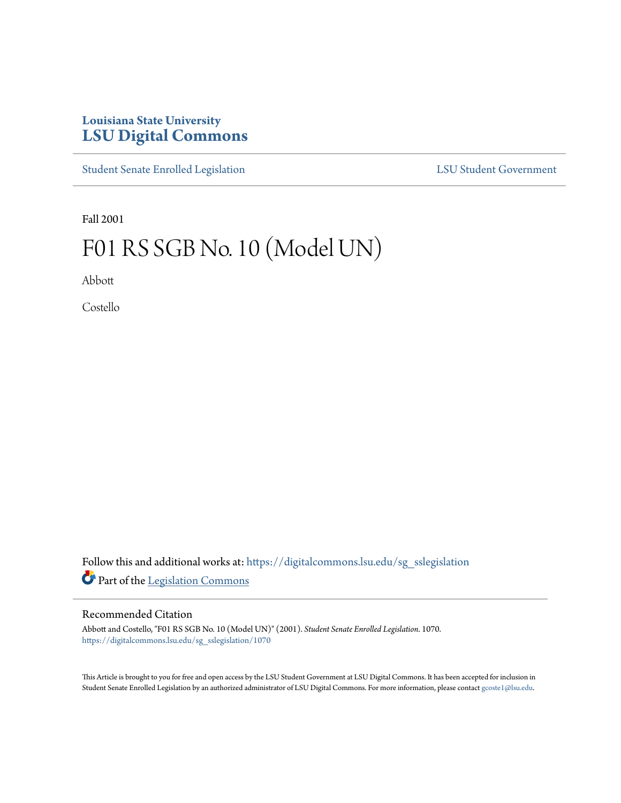# **Louisiana State University [LSU Digital Commons](https://digitalcommons.lsu.edu?utm_source=digitalcommons.lsu.edu%2Fsg_sslegislation%2F1070&utm_medium=PDF&utm_campaign=PDFCoverPages)**

[Student Senate Enrolled Legislation](https://digitalcommons.lsu.edu/sg_sslegislation?utm_source=digitalcommons.lsu.edu%2Fsg_sslegislation%2F1070&utm_medium=PDF&utm_campaign=PDFCoverPages) [LSU Student Government](https://digitalcommons.lsu.edu/sg?utm_source=digitalcommons.lsu.edu%2Fsg_sslegislation%2F1070&utm_medium=PDF&utm_campaign=PDFCoverPages)

Fall 2001

# F01 RS SGB No. 10 (Model UN)

Abbott

Costello

Follow this and additional works at: [https://digitalcommons.lsu.edu/sg\\_sslegislation](https://digitalcommons.lsu.edu/sg_sslegislation?utm_source=digitalcommons.lsu.edu%2Fsg_sslegislation%2F1070&utm_medium=PDF&utm_campaign=PDFCoverPages) Part of the [Legislation Commons](http://network.bepress.com/hgg/discipline/859?utm_source=digitalcommons.lsu.edu%2Fsg_sslegislation%2F1070&utm_medium=PDF&utm_campaign=PDFCoverPages)

#### Recommended Citation

Abbott and Costello, "F01 RS SGB No. 10 (Model UN)" (2001). *Student Senate Enrolled Legislation*. 1070. [https://digitalcommons.lsu.edu/sg\\_sslegislation/1070](https://digitalcommons.lsu.edu/sg_sslegislation/1070?utm_source=digitalcommons.lsu.edu%2Fsg_sslegislation%2F1070&utm_medium=PDF&utm_campaign=PDFCoverPages)

This Article is brought to you for free and open access by the LSU Student Government at LSU Digital Commons. It has been accepted for inclusion in Student Senate Enrolled Legislation by an authorized administrator of LSU Digital Commons. For more information, please contact [gcoste1@lsu.edu.](mailto:gcoste1@lsu.edu)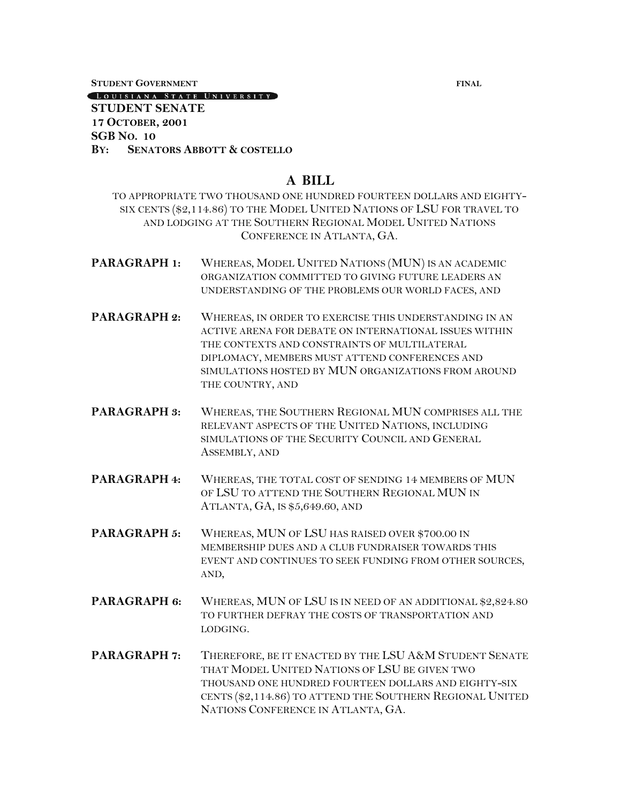**STUDENT GOVERNMENT FINAL**

[LOUISIANA STATE UNIVERSITY]

#### **STUDENT SENATE 17 OCTOBER, 2001 SGB NO. 10 BY: SENATORS ABBOTT & COSTELLO**

## **A BILL**

TO APPROPRIATE TWO THOUSAND ONE HUNDRED FOURTEEN DOLLARS AND EIGHTY-SIX CENTS (\$2,114.86) TO THE MODEL UNITED NATIONS OF LSU FOR TRAVEL TO AND LODGING AT THE SOUTHERN REGIONAL MODEL UNITED NATIONS CONFERENCE IN ATLANTA, GA.

- **PARAGRAPH 1:** WHEREAS, MODEL UNITED NATIONS (MUN) IS AN ACADEMIC ORGANIZATION COMMITTED TO GIVING FUTURE LEADERS AN UNDERSTANDING OF THE PROBLEMS OUR WORLD FACES, AND
- **PARAGRAPH 2:** WHEREAS, IN ORDER TO EXERCISE THIS UNDERSTANDING IN AN ACTIVE ARENA FOR DEBATE ON INTERNATIONAL ISSUES WITHIN THE CONTEXTS AND CONSTRAINTS OF MULTILATERAL DIPLOMACY, MEMBERS MUST ATTEND CONFERENCES AND SIMULATIONS HOSTED BY MUN ORGANIZATIONS FROM AROUND THE COUNTRY, AND
- **PARAGRAPH 3:** WHEREAS, THE SOUTHERN REGIONAL MUN COMPRISES ALL THE RELEVANT ASPECTS OF THE UNITED NATIONS, INCLUDING SIMULATIONS OF THE SECURITY COUNCIL AND GENERAL ASSEMBLY, AND
- **PARAGRAPH 4:** WHEREAS, THE TOTAL COST OF SENDING 14 MEMBERS OF MUN OF LSU TO ATTEND THE SOUTHERN REGIONAL MUN IN ATLANTA, GA, IS \$5,649.60, AND
- **PARAGRAPH 5:** WHEREAS, MUN OF LSU HAS RAISED OVER \$700.00 IN MEMBERSHIP DUES AND A CLUB FUNDRAISER TOWARDS THIS EVENT AND CONTINUES TO SEEK FUNDING FROM OTHER SOURCES, AND,
- PARAGRAPH 6: WHEREAS, MUN OF LSU IS IN NEED OF AN ADDITIONAL \$2,824.80 TO FURTHER DEFRAY THE COSTS OF TRANSPORTATION AND LODGING.
- **PARAGRAPH 7:** THEREFORE, BE IT ENACTED BY THE LSU A&M STUDENT SENATE THAT MODEL UNITED NATIONS OF LSU BE GIVEN TWO THOUSAND ONE HUNDRED FOURTEEN DOLLARS AND EIGHTY-SIX CENTS (\$2,114.86) TO ATTEND THE SOUTHERN REGIONAL UNITED NATIONS CONFERENCE IN ATLANTA, GA.